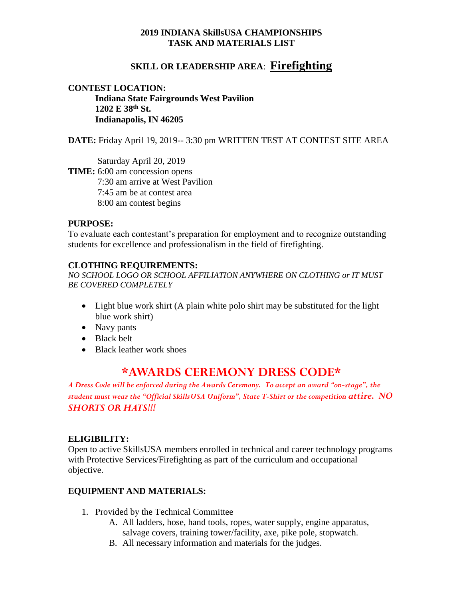#### **2019 INDIANA SkillsUSA CHAMPIONSHIPS TASK AND MATERIALS LIST**

# **SKILL OR LEADERSHIP AREA**: **Firefighting**

#### **CONTEST LOCATION: Indiana State Fairgrounds West Pavilion 1202 E 38th St. Indianapolis, IN 46205**

**DATE:** Friday April 19, 2019-- 3:30 pm WRITTEN TEST AT CONTEST SITE AREA

Saturday April 20, 2019 **TIME:** 6:00 am concession opens 7:30 am arrive at West Pavilion 7:45 am be at contest area 8:00 am contest begins

#### **PURPOSE:**

To evaluate each contestant's preparation for employment and to recognize outstanding students for excellence and professionalism in the field of firefighting.

#### **CLOTHING REQUIREMENTS:**

*NO SCHOOL LOGO OR SCHOOL AFFILIATION ANYWHERE ON CLOTHING or IT MUST BE COVERED COMPLETELY*

- Light blue work shirt (A plain white polo shirt may be substituted for the light blue work shirt)
- Navy pants
- Black belt
- Black leather work shoes

# **\*AWARDS CEREMONY DRESS CODE\***

*A Dress Code will be enforced during the Awards Ceremony. To accept an award "on-stage", the student must wear the "Official SkillsUSA Uniform", State T-Shirt or the competition attire. NO SHORTS OR HATS!!!*

#### **ELIGIBILITY:**

Open to active SkillsUSA members enrolled in technical and career technology programs with Protective Services/Firefighting as part of the curriculum and occupational objective.

# **EQUIPMENT AND MATERIALS:**

- 1. Provided by the Technical Committee
	- A. All ladders, hose, hand tools, ropes, water supply, engine apparatus, salvage covers, training tower/facility, axe, pike pole, stopwatch.
	- B. All necessary information and materials for the judges.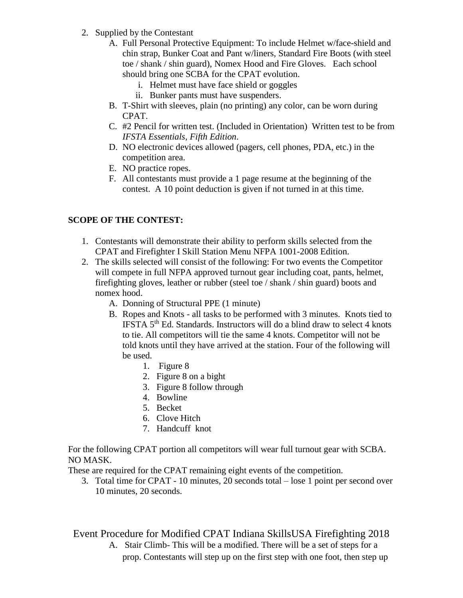- 2. Supplied by the Contestant
	- A. Full Personal Protective Equipment: To include Helmet w/face-shield and chin strap, Bunker Coat and Pant w/liners, Standard Fire Boots (with steel toe / shank / shin guard), Nomex Hood and Fire Gloves. Each school should bring one SCBA for the CPAT evolution.
		- i. Helmet must have face shield or goggles
		- ii. Bunker pants must have suspenders.
	- B. T-Shirt with sleeves, plain (no printing) any color, can be worn during CPAT.
	- C. #2 Pencil for written test. (Included in Orientation) Written test to be from *IFSTA Essentials, Fifth Edition*.
	- D. NO electronic devices allowed (pagers, cell phones, PDA, etc.) in the competition area.
	- E. NO practice ropes.
	- F. All contestants must provide a 1 page resume at the beginning of the contest. A 10 point deduction is given if not turned in at this time.

# **SCOPE OF THE CONTEST:**

- 1. Contestants will demonstrate their ability to perform skills selected from the CPAT and Firefighter I Skill Station Menu NFPA 1001-2008 Edition.
- 2. The skills selected will consist of the following: For two events the Competitor will compete in full NFPA approved turnout gear including coat, pants, helmet, firefighting gloves, leather or rubber (steel toe / shank / shin guard) boots and nomex hood.
	- A. Donning of Structural PPE (1 minute)
	- B. Ropes and Knots all tasks to be performed with 3 minutes. Knots tied to IFSTA 5<sup>th</sup> Ed. Standards. Instructors will do a blind draw to select 4 knots to tie. All competitors will tie the same 4 knots. Competitor will not be told knots until they have arrived at the station. Four of the following will be used.
		- 1. Figure 8
		- 2. Figure 8 on a bight
		- 3. Figure 8 follow through
		- 4. Bowline
		- 5. Becket
		- 6. Clove Hitch
		- 7. Handcuff knot

For the following CPAT portion all competitors will wear full turnout gear with SCBA. NO MASK.

These are required for the CPAT remaining eight events of the competition.

3. Total time for CPAT - 10 minutes, 20 seconds total – lose 1 point per second over 10 minutes, 20 seconds.

Event Procedure for Modified CPAT Indiana SkillsUSA Firefighting 2018 A. Stair Climb- This will be a modified. There will be a set of steps for a prop. Contestants will step up on the first step with one foot, then step up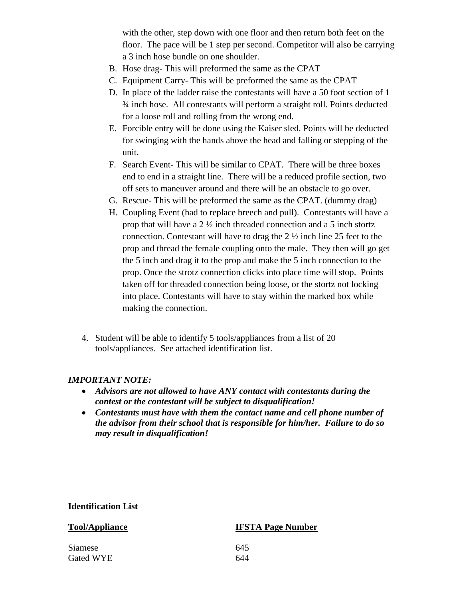with the other, step down with one floor and then return both feet on the floor. The pace will be 1 step per second. Competitor will also be carrying a 3 inch hose bundle on one shoulder.

- B. Hose drag- This will preformed the same as the CPAT
- C. Equipment Carry- This will be preformed the same as the CPAT
- D. In place of the ladder raise the contestants will have a 50 foot section of 1 ¾ inch hose. All contestants will perform a straight roll. Points deducted for a loose roll and rolling from the wrong end.
- E. Forcible entry will be done using the Kaiser sled. Points will be deducted for swinging with the hands above the head and falling or stepping of the unit.
- F. Search Event- This will be similar to CPAT. There will be three boxes end to end in a straight line. There will be a reduced profile section, two off sets to maneuver around and there will be an obstacle to go over.
- G. Rescue- This will be preformed the same as the CPAT. (dummy drag)
- H. Coupling Event (had to replace breech and pull). Contestants will have a prop that will have a 2 ½ inch threaded connection and a 5 inch stortz connection. Contestant will have to drag the 2 ½ inch line 25 feet to the prop and thread the female coupling onto the male. They then will go get the 5 inch and drag it to the prop and make the 5 inch connection to the prop. Once the strotz connection clicks into place time will stop. Points taken off for threaded connection being loose, or the stortz not locking into place. Contestants will have to stay within the marked box while making the connection.
- 4. Student will be able to identify 5 tools/appliances from a list of 20 tools/appliances. See attached identification list.

# *IMPORTANT NOTE:*

- *Advisors are not allowed to have ANY contact with contestants during the contest or the contestant will be subject to disqualification!*
- *Contestants must have with them the contact name and cell phone number of the advisor from their school that is responsible for him/her. Failure to do so may result in disqualification!*

#### **Identification List**

# **Tool/Appliance IFSTA Page Number** Siamese 645 Gated WYE 644